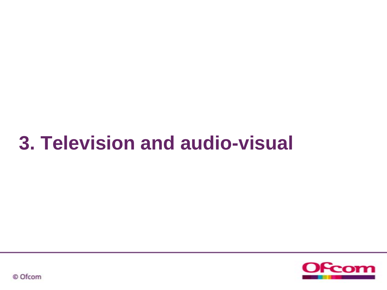# **3. Television and audio-visual**



© Ofcom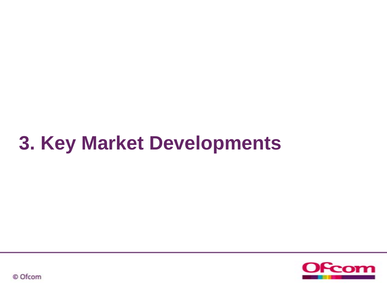# **3. Key Market Developments**



© Ofcom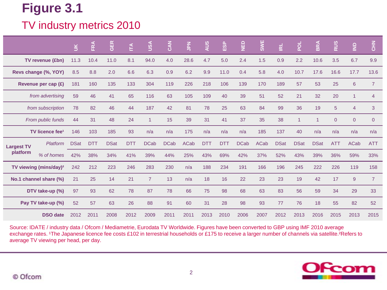### TV industry metrics 2010

|                        |                                    | $\leq$      | FRA        | <b>GER</b>  | Ě          | USA            | CAN         | $rac{Z}{2}$ | AUS        | ESP        | D           | SWE         | $\vec{R}$   | POL            | <b>BRA</b>     | $\left \frac{2}{2}\right $ | $\frac{1}{2}$  | $rac{Z}{C}$    |
|------------------------|------------------------------------|-------------|------------|-------------|------------|----------------|-------------|-------------|------------|------------|-------------|-------------|-------------|----------------|----------------|----------------------------|----------------|----------------|
| TV revenue (£bn)       |                                    | 11.3        | 10.4       | 11.0        | 8.1        | 94.0           | 4.0         | 28.6        | 4.7        | 5.0        | 2.4         | 1.5         | 0.9         | 2.2            | 10.6           | 3.5                        | 6.7            | 9.9            |
| Revs change (%, YOY)   |                                    | 8.5         | 8.8        | 2.0         | 6.6        | 6.3            | 0.9         | 6.2         | 9.9        | $11.0$     | 0.4         | 5.8         | 4.0         | 10.7           | 17.6           | 16.6                       | 17.7           | 13.6           |
| Revenue per cap $(E)$  |                                    | 181         | 160        | 135         | 133        | 304            | 119         | 226         | 218        | 106        | 139         | 170         | 189         | 57             | 53             | 25                         | 6              | $\overline{7}$ |
| from advertising       |                                    | 59          | 46         | 41          | 65         | 116            | 63          | 105         | 109        | 40         | 39          | 51          | 52          | 21             | 32             | 20                         | $\overline{1}$ | 4              |
| from subscription      |                                    | 78          | 82         | 46          | 44         | 187            | 42          | 81          | 78         | 25         | 63          | 84          | 99          | 36             | 19             | 5                          | $\overline{4}$ | 3              |
| From public funds      |                                    | 44          | 31         | 48          | 24         | $\overline{1}$ | 15          | 39          | 31         | 41         | 37          | 35          | 38          | $\overline{1}$ | $\overline{1}$ | $\overline{0}$             | $\overline{0}$ | $\overline{0}$ |
|                        | TV licence fee <sup>1</sup>        | 146         | 103        | 185         | 93         | n/a            | n/a         | 175         | n/a        | n/a        | n/a         | 185         | 137         | 40             | n/a            | n/a                        | n/a            | n/a            |
| <b>Largest TV</b>      | Platform                           | <b>DSat</b> | <b>DTT</b> | <b>DSat</b> | <b>DTT</b> | <b>DCab</b>    | <b>DCab</b> | <b>ACab</b> | <b>DTT</b> | <b>DTT</b> | <b>DCab</b> | <b>ACab</b> | <b>DSat</b> | <b>DSat</b>    | <b>DSat</b>    | <b>ATT</b>                 | <b>ACab</b>    | <b>ATT</b>     |
| platform               | % of homes                         | 42%         | 38%        | 34%         | 41%        | 39%            | 44%         | 25%         | 43%        | 69%        | 42%         | 37%         | 52%         | 43%            | 39%            | 36%                        | 59%            | 33%            |
|                        | TV viewing (mins/day) <sup>2</sup> | 242         | 212        | 223         | 246        | 283            | 230         | n/a         | 188        | 234        | 191         | 166         | 196         | 245            | 222            | 226                        | 119            | 158            |
| No.1 channel share (%) |                                    | 21          | 25         | 14          | 21         | $\overline{7}$ | 13          | n/a         | 18         | 16         | 22          | 23          | 23          | 19             | 42             | 17                         | 9              | $\overline{7}$ |
| DTV take-up (%)        |                                    | 97          | 93         | 62          | 78         | 87             | 78          | 66          | 75         | 98         | 68          | 63          | 83          | 56             | 59             | 34                         | 29             | 33             |
| Pay TV take-up (%)     |                                    | 52          | 57         | 63          | 26         | 88             | 91          | 60          | 31         | 28         | 98          | 93          | 77          | 76             | 18             | 55                         | 82             | 52             |
|                        | <b>DSO</b> date                    | 2012        | 2011       | 2008        | 2012       | 2009           | 2011        | 2011        | 2013       | 2010       | 2006        | 2007        | 2012        | 2013           | 2016           | 2015                       | 2013           | 2015           |

Source: IDATE / industry data / Ofcom / Mediametrie, Eurodata TV Worldwide. Figures have been converted to GBP using IMF 2010 average exchange rates. <sup>1</sup>The Japanese licence fee costs £102 in terrestrial households or £175 to receive a larger number of channels via satellite.<sup>2</sup>Refers to average TV viewing per head, per day.

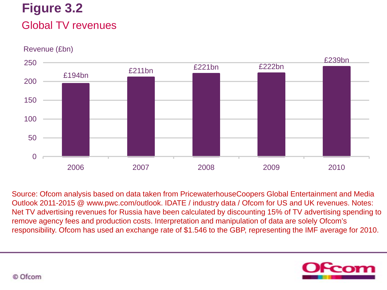## **Figure 3.2** Global TV revenues

Revenue (£bn)



Source: Ofcom analysis based on data taken from PricewaterhouseCoopers Global Entertainment and Media Outlook 2011-2015 @ www.pwc.com/outlook. IDATE / industry data / Ofcom for US and UK revenues. Notes: Net TV advertising revenues for Russia have been calculated by discounting 15% of TV advertising spending to remove agency fees and production costs. Interpretation and manipulation of data are solely Ofcom's responsibility. Ofcom has used an exchange rate of \$1.546 to the GBP, representing the IMF average for 2010.



© Ofcom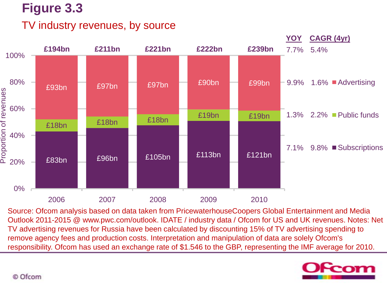### TV industry revenues, by source



Source: Ofcom analysis based on data taken from PricewaterhouseCoopers Global Entertainment and Media Outlook 2011-2015 @ www.pwc.com/outlook. IDATE / industry data / Ofcom for US and UK revenues. Notes: Net TV advertising revenues for Russia have been calculated by discounting 15% of TV advertising spending to remove agency fees and production costs. Interpretation and manipulation of data are solely Ofcom's responsibility. Ofcom has used an exchange rate of \$1.546 to the GBP, representing the IMF average for 2010.

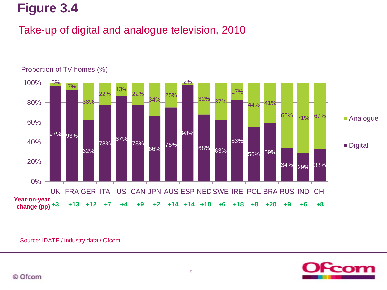### Take-up of digital and analogue television, 2010



#### Proportion of TV homes (%)

Source: IDATE / industry data / Ofcom

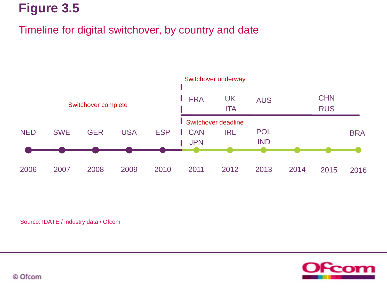### Timeline for digital switchover, by country and date



Source: IDATE / industry data / Ofcom



© Ofcom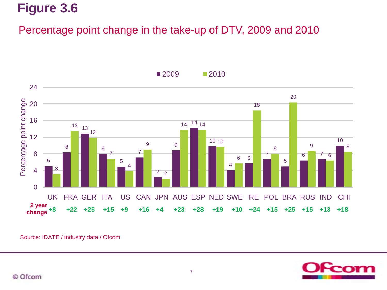### Percentage point change in the take-up of DTV, 2009 and 2010



**2009 2010** 



Source: IDATE / industry data / Ofcom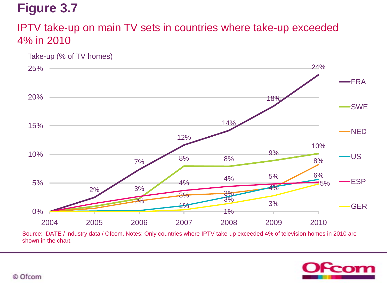### IPTV take-up on main TV sets in countries where take-up exceeded 4% in 2010



Source: IDATE / industry data / Ofcom. Notes: Only countries where IPTV take-up exceeded 4% of television homes in 2010 are shown in the chart.

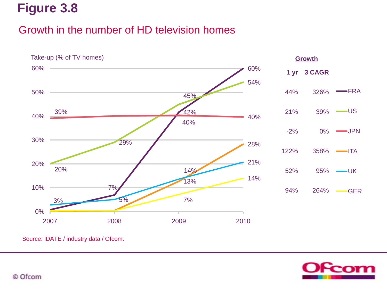### Growth in the number of HD television homes



Source: IDATE / industry data / Ofcom.

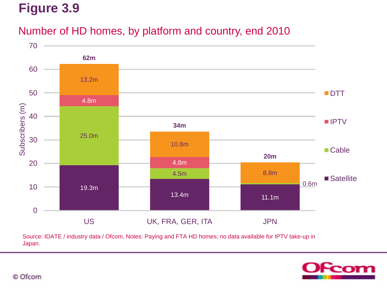### Number of HD homes, by platform and country, end 2010



Source: IDATE / industry data / Ofcom. Notes: Paying and FTA HD homes; no data available for IPTV take-up in Japan.

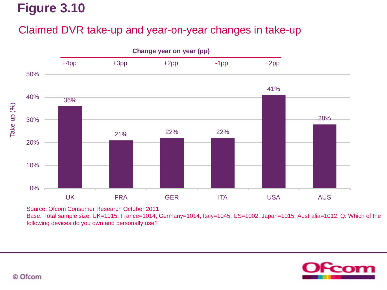### Claimed DVR take-up and year-on-year changes in take-up



Source: Ofcom Consumer Research October 2011

Base: Total sample size: UK=1015, France=1014, Germany=1014, Italy=1045, US=1002, Japan=1015, Australia=1012. Q: Which of the following devices do you own and personally use?

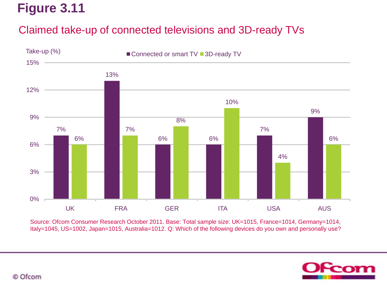### Claimed take-up of connected televisions and 3D-ready TVs



Source: Ofcom Consumer Research October 2011. Base: Total sample size: UK=1015, France=1014, Germany=1014, Italy=1045, US=1002, Japan=1015, Australia=1012. Q: Which of the following devices do you own and personally use?

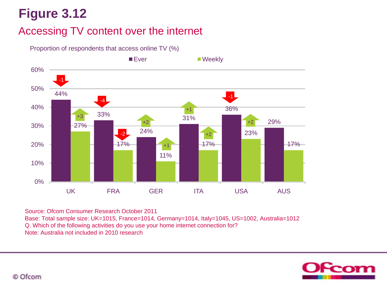### Accessing TV content over the internet



Proportion of respondents that access online TV (%)

Source: Ofcom Consumer Research October 2011 Base: Total sample size: UK=1015, France=1014, Germany=1014, Italy=1045, US=1002, Australia=1012 Q. Which of the following activities do you use your home internet connection for? Note: Australia not included in 2010 research

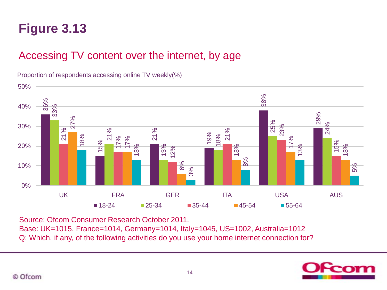### Accessing TV content over the internet, by age



Proportion of respondents accessing online TV weekly(%)

Source: Ofcom Consumer Research October 2011.

Base: UK=1015, France=1014, Germany=1014, Italy=1045, US=1002, Australia=1012 Q: Which, if any, of the following activities do you use your home internet connection for?

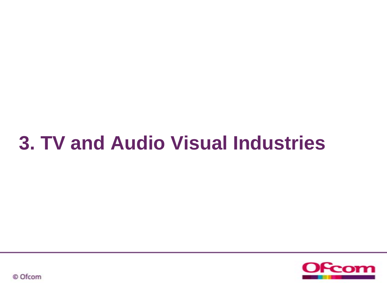# **3. TV and Audio Visual Industries**



© Ofcom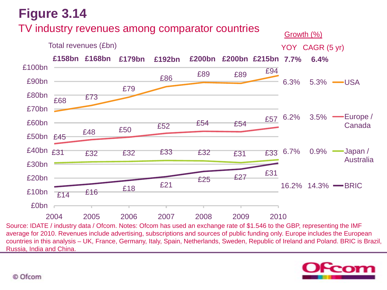## **Figure 3.14** TV industry revenues among comparator countries



Source: IDATE / industry data / Ofcom. Notes: Ofcom has used an exchange rate of \$1.546 to the GBP, representing the IMF average for 2010. Revenues include advertising, subscriptions and sources of public funding only. Europe includes the European countries in this analysis – UK, France, Germany, Italy, Spain, Netherlands, Sweden, Republic of Ireland and Poland. BRIC is Brazil, Russia, India and China.



#### © Ofcom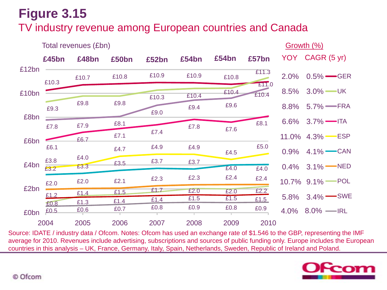### TV industry revenue among European countries and Canada



Source: IDATE / industry data / Ofcom. Notes: Ofcom has used an exchange rate of \$1.546 to the GBP, representing the IMF average for 2010. Revenues include advertising, subscriptions and sources of public funding only. Europe includes the European countries in this analysis – UK, France, Germany, Italy, Spain, Netherlands, Sweden, Republic of Ireland and Poland.

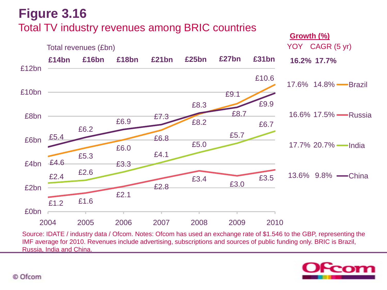## **Figure 3.16** Total TV industry revenues among BRIC countries



Source: IDATE / industry data / Ofcom. Notes: Ofcom has used an exchange rate of \$1.546 to the GBP, representing the IMF average for 2010. Revenues include advertising, subscriptions and sources of public funding only. BRIC is Brazil, Russia, India and China.

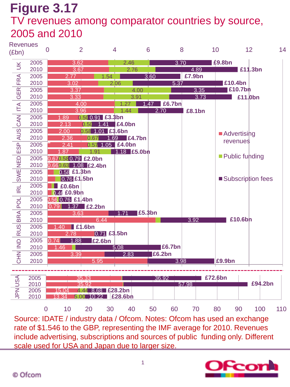### **Figure 3.17** TV revenues among comparator countries by source, 2005 and 2010



Source: IDATE / industry data / Ofcom. Notes: Ofcom has used an exchange rate of \$1.546 to the GBP, representing the IMF average for 2010. Revenues include advertising, subscriptions and sources of public funding only. Different scale used for USA and Japan due to larger size.

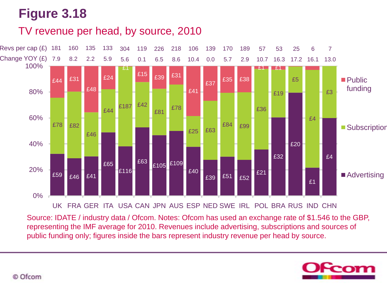TV revenue per head, by source, 2010



Source: IDATE / industry data / Ofcom. Notes: Ofcom has used an exchange rate of \$1.546 to the GBP, representing the IMF average for 2010. Revenues include advertising, subscriptions and sources of public funding only; figures inside the bars represent industry revenue per head by source.

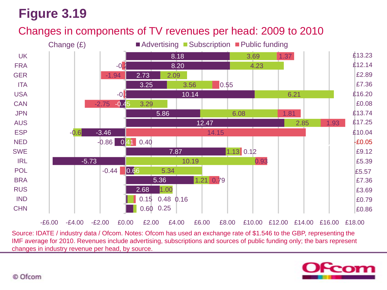### Changes in components of TV revenues per head: 2009 to 2010



Source: IDATE / industry data / Ofcom. Notes: Ofcom has used an exchange rate of \$1.546 to the GBP, representing the IMF average for 2010. Revenues include advertising, subscriptions and sources of public funding only; the bars represent changes in industry revenue per head, by source.

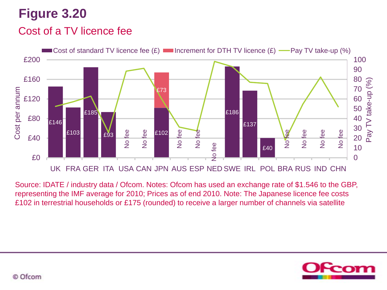### Cost of a TV licence fee



Source: IDATE / industry data / Ofcom. Notes: Ofcom has used an exchange rate of \$1.546 to the GBP, representing the IMF average for 2010; Prices as of end 2010. Note: The Japanese licence fee costs

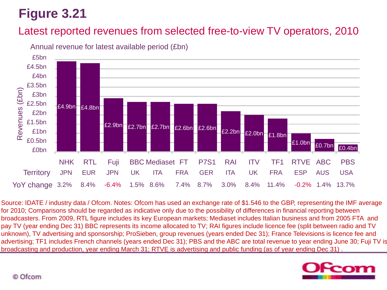### Latest reported revenues from selected free-to-view TV operators, 2010



Annual revenue for latest available period (£bn)

Source: IDATE / industry data / Ofcom. Notes: Ofcom has used an exchange rate of \$1.546 to the GBP, representing the IMF average for 2010; Comparisons should be regarded as indicative only due to the possibility of differences in financial reporting between broadcasters. From 2009, RTL figure includes its key European markets; Mediaset includes Italian business and from 2005 FTA and pay TV (year ending Dec 31) BBC represents its income allocated to TV; RAI figures include licence fee (split between radio and TV unknown), TV advertising and sponsorship; ProSieben, group revenues (years ended Dec 31); France Televisions is licence fee and advertising; TF1 includes French channels (years ended Dec 31); PBS and the ABC are total revenue to year ending June 30; Fuji TV is broadcasting and production, year ending March 31; RTVE is advertising and public funding (as of year ending Dec 31) .

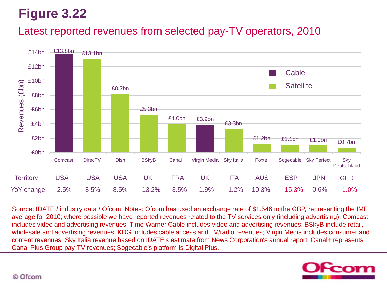### Latest reported revenues from selected pay-TV operators, 2010



Source: IDATE / industry data / Ofcom. Notes: Ofcom has used an exchange rate of \$1.546 to the GBP, representing the IMF average for 2010; where possible we have reported revenues related to the TV services only (including advertising). Comcast includes video and advertising revenues; Time Warner Cable includes video and advertising revenues; BSkyB include retail, wholesale and advertising revenues; KDG includes cable access and TV/radio revenues; Virgin Media includes consumer and content revenues; Sky Italia revenue based on IDATE's estimate from News Corporation's annual report; Canal+ represents

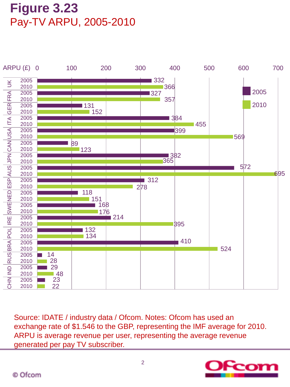## **Figure 3.23** Pay-TV ARPU, 2005-2010



Source: IDATE / industry data / Ofcom. Notes: Ofcom has used an exchange rate of \$1.546 to the GBP, representing the IMF average for 2010. ARPU is average revenue per user, representing the average revenue generated per pay TV subscriber.

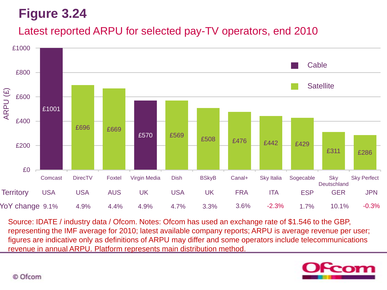### Latest reported ARPU for selected pay-TV operators, end 2010



Source: IDATE / industry data / Ofcom. Notes: Ofcom has used an exchange rate of \$1.546 to the GBP, representing the IMF average for 2010; latest available company reports; ARPU is average revenue per user; figures are indicative only as definitions of ARPU may differ and some operators include telecommunications revenue in annual ARPU. Platform represents main distribution method.

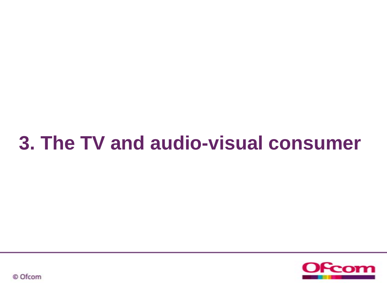# **3. The TV and audio-visual consumer**



© Ofcom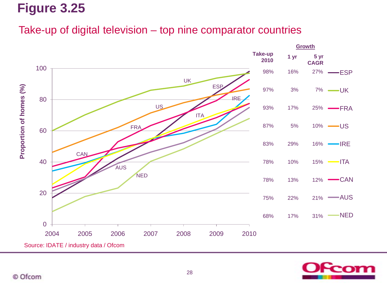### Take-up of digital television – top nine comparator countries



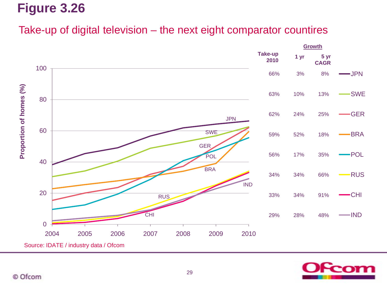### Take-up of digital television – the next eight comparator countires



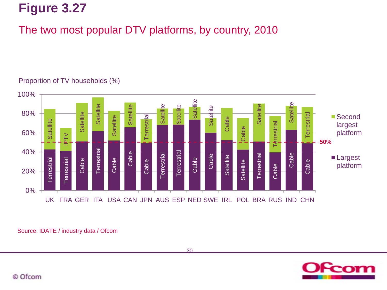### The two most popular DTV platforms, by country, 2010



### Proportion of TV households (%)

Source: IDATE / industry data / Ofcom



30

© Ofcom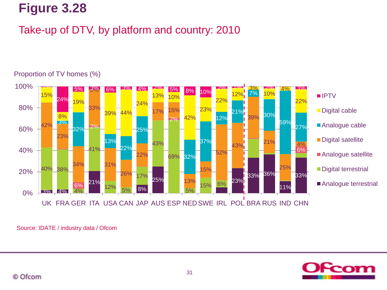### Take-up of DTV, by platform and country: 2010



#### Proportion of TV homes (%)

Source: IDATE / industry data / Ofcom

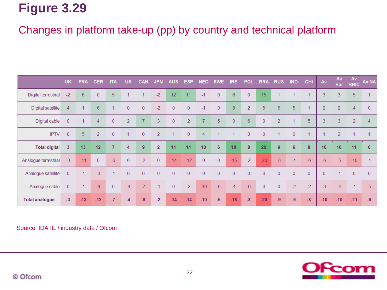### Changes in platform take-up (pp) by country and technical platform

|                          | <b>UK</b>      | <b>FRA</b> | <b>GER</b>     | <b>ITA</b>     | <b>US</b>      | <b>CAN</b>       | <b>JPN</b>     | <b>AUS</b>       | <b>ESP</b>     | <b>NED</b>     | <b>SWE</b>     | IRE.           | <b>POL</b>     | <b>BRA</b>     | <b>RUS</b>           | <b>IND</b>       | <b>CHI</b>           | Av             | Av<br>Eur      | Av<br><b>BRIC</b> | <b>Av NA</b>         |
|--------------------------|----------------|------------|----------------|----------------|----------------|------------------|----------------|------------------|----------------|----------------|----------------|----------------|----------------|----------------|----------------------|------------------|----------------------|----------------|----------------|-------------------|----------------------|
| Digital terrestrial      | $-2$           | 6          | $\mathbf{0}$   | 5              |                |                  | $-2$           | 12               | 11             | $-1$           | $\mathbf{0}$   | 6              | $\overline{0}$ | 15             |                      |                  |                      | 3              | 3              | 5                 |                      |
| <b>Digital satellite</b> | $\overline{4}$ |            | $6\,$          |                | $\pmb{0}$      | $\overline{0}$   | $-2$           | $\boldsymbol{0}$ | $\bf{0}$       | $-1$           | $\mathbf{0}$   | 8              | $\overline{2}$ | 5              | 5                    | 5                | $\blacktriangleleft$ | $\overline{2}$ | $\overline{2}$ | 4                 | $\overline{0}$       |
| Digital cable            | $\overline{0}$ |            | $\overline{4}$ | $\overline{0}$ | $\overline{2}$ | $\overline{7}$   | 3              | $\boldsymbol{0}$ | $\overline{2}$ | $\overline{7}$ | 5              | 3              | $6\phantom{1}$ | $\overline{0}$ | $\overline{2}$       | 1                | 5                    | 3              | 3              | $\overline{2}$    | 4                    |
| <b>IPTV</b>              | $\overline{0}$ | 5          | 2              | $\overline{0}$ | 1              | $\bf{0}$         | 2              | 1                | $\overline{0}$ | $\overline{4}$ |                | 1              | $\overline{0}$ | $\overline{0}$ | $\blacktriangleleft$ | $\mathbf{0}$     | $\blacktriangleleft$ |                | $\overline{2}$ |                   | $\blacktriangleleft$ |
| <b>Total digital</b>     | -3             | 13         | 12             | $\overline{7}$ | 4              | $\boldsymbol{9}$ | $\overline{2}$ | 14               | 14             | 10             | 6              | 18             | 8              | 20             | 9                    | $\boldsymbol{6}$ | $\pmb{8}$            | 10             | 10             | 11                | 6                    |
| Analogue terrestrial     | $-3$           | $-11$      | $\overline{0}$ | $-6$           | $\overline{0}$ | $-2$             | $\overline{0}$ | $-14$            | $-12$          | $\overline{0}$ | $\overline{0}$ | $-15$          | $-2$           | $-20$          | $-8$                 | $-4$             | $-6$                 | $-6$           | $-5$           | $-10$             | $-1$                 |
| Analogue satellite       | $\overline{0}$ | $-1$       | $-3$           | $-1$           | $\mathbf{0}$   | $\overline{0}$   | $\overline{0}$ | $\overline{0}$   | $\overline{0}$ | $\overline{0}$ | $\overline{0}$ | $\overline{0}$ | $\bf{0}$       | $\overline{0}$ | $\overline{0}$       | $\overline{0}$   | $\overline{0}$       | $\overline{0}$ | $-1$           | $\overline{0}$    | $\overline{0}$       |
| Analogue cable           | $\overline{0}$ | $-1$       | $-9$           | $\overline{0}$ | $-4$           | $-7$             | $-1$           | $\mathbf{0}$     | $-2$           | $-10$          | $-6$           | $-4$           | $-6$           | $\overline{0}$ | $\overline{0}$       | $-2$             | $-2$                 | $-3$           | $-4$           | $-1$              | $-5$                 |
| <b>Total analogue</b>    | $-3$           | $-13$      | $-12$          | $-7$           | $-4$           | $-9$             | $-2$           | $-14$            | $-14$          | $-10$          | $-6$           | $-18$          | $-8$           | $-20$          | $-9$                 | $-6$             | $-8$                 | $-10$          | $-10$          | $-11$             | $-6$                 |

Source: IDATE / industry data / Ofcom

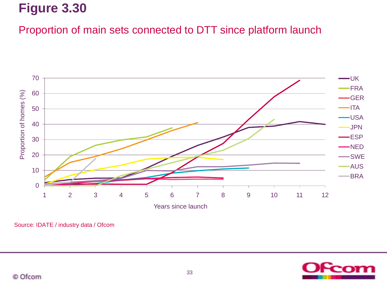### Proportion of main sets connected to DTT since platform launch



Source: IDATE / industry data / Ofcom

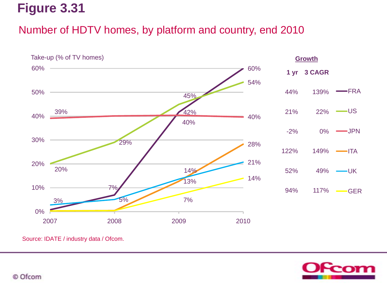### Number of HDTV homes, by platform and country, end 2010



Source: IDATE / industry data / Ofcom.

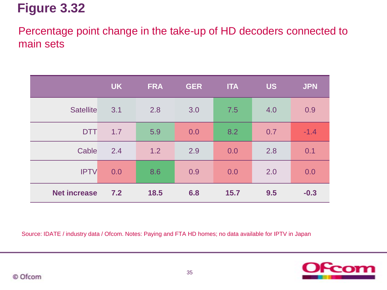Percentage point change in the take-up of HD decoders connected to main sets

|                     | <b>UK</b> | <b>FRA</b> | <b>GER</b> | <b>ITA</b> | <b>US</b> | <b>JPN</b> |
|---------------------|-----------|------------|------------|------------|-----------|------------|
| <b>Satellite</b>    | 3.1       | 2.8        | 3.0        | 7.5        | 4.0       | 0.9        |
| <b>DTT</b>          | 1.7       | 5.9        | 0.0        | 8.2        | 0.7       | $-1.4$     |
| Cable               | 2.4       | 1.2        | 2.9        | 0.0        | 2.8       | 0.1        |
| <b>IPTV</b>         | 0.0       | 8.6        | 0.9        | 0.0        | 2.0       | 0.0        |
| <b>Net increase</b> | 7.2       | 18.5       | 6.8        | 15.7       | 9.5       | $-0.3$     |

Source: IDATE / industry data / Ofcom. Notes: Paying and FTA HD homes; no data available for IPTV in Japan

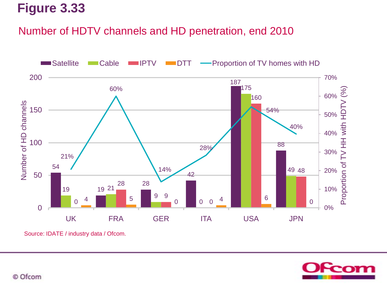### Number of HDTV channels and HD penetration, end 2010



Source: IDATE / industry data / Ofcom.

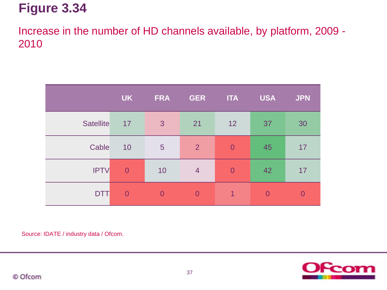Increase in the number of HD channels available, by platform, 2009 - 2010

|                  | <b>UK</b>      | <b>FRA</b>      | <b>GER</b>     | <b>ITA</b>     | <b>USA</b>     | <b>JPN</b>     |
|------------------|----------------|-----------------|----------------|----------------|----------------|----------------|
| <b>Satellite</b> | 17             | $\mathbf{3}$    | 21             | 12             | 37             | 30             |
| Cable            | 10             | $5\phantom{.0}$ | 2              | $\overline{0}$ | 45             | 17             |
| <b>IPTV</b>      | $\overline{0}$ | 10              | $\overline{4}$ | $\overline{0}$ | 42             | 17             |
| <b>DTT</b>       | $\overline{0}$ | $\Omega$        | $\Omega$       | 1              | $\overline{0}$ | $\overline{0}$ |

Source: IDATE / industry data / Ofcom.

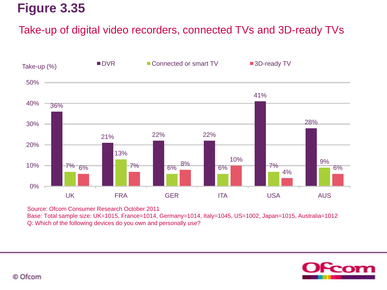### Take-up of digital video recorders, connected TVs and 3D-ready TVs



Source: Ofcom Consumer Research October 2011

Base: Total sample size: UK=1015, France=1014, Germany=1014, Italy=1045, US=1002, Japan=1015, Australia=1012 Q: Which of the following devices do you own and personally use?

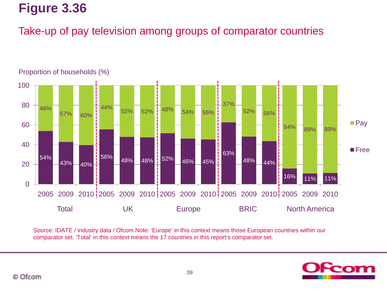### Take-up of pay television among groups of comparator countries



Source: IDATE / industry data / Ofcom.Note: 'Europe' in this context means those European countries within our comparator set. 'Total' in this context means the 17 countries in this report's comparator set.

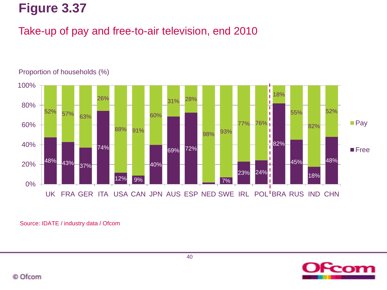### Take-up of pay and free-to-air television, end 2010



#### Proportion of households (%)

Source: IDATE / industry data / Ofcom



© Ofcom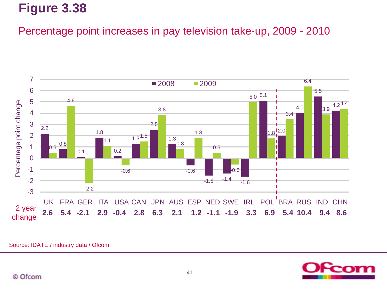Percentage point increases in pay television take-up, 2009 - 2010



Source: IDATE / industry data / Ofcom

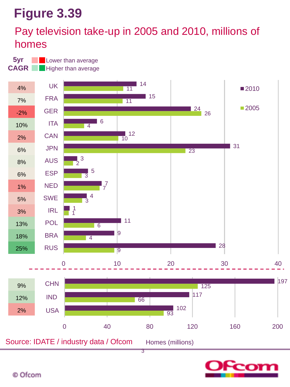### Pay television take-up in 2005 and 2010, millions of homes

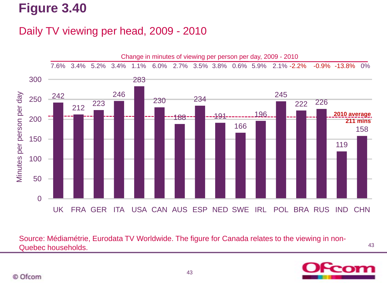### Daily TV viewing per head, 2009 - 2010



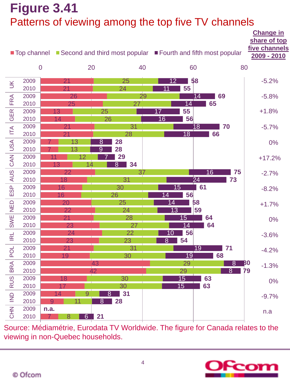## **Figure 3.41** Patterns of viewing among the top five TV channels

|                                     |              | ■ Top channel ■ Second and third most popular ■ Fourth and fifth most popular |                                              |                       |                       | <b>Change in</b><br>share of top<br>five channels<br>2009 - 2010 |
|-------------------------------------|--------------|-------------------------------------------------------------------------------|----------------------------------------------|-----------------------|-----------------------|------------------------------------------------------------------|
|                                     |              | $\mathbf 0$<br>20                                                             |                                              | 40                    | 60                    | 80                                                               |
| $\leq$                              | 2009         | 21                                                                            | 25                                           | $\overline{12}$       | 58                    | $-5.2%$                                                          |
|                                     | 2010         | 21                                                                            | 24                                           | 55<br>$\overline{11}$ |                       |                                                                  |
| <b>FRA</b>                          | 2009         | 26                                                                            |                                              | 29                    | 14<br>69              | $-5.8%$                                                          |
|                                     | 2010         | 25                                                                            | 27                                           | $\overline{14}$       | 65                    |                                                                  |
| <b>GER</b>                          | 2009         | 13                                                                            | 25                                           | 55<br>17              |                       | $+1.8%$                                                          |
|                                     | 2010         | 14                                                                            | 26                                           | 16<br>56              |                       |                                                                  |
| $\overline{\mathsf{I}}$             | 2009         | 21                                                                            | 31                                           |                       | $\overline{18}$<br>70 | $-5.7%$                                                          |
|                                     | 2010         | 21                                                                            | 28                                           | $\overline{18}$       | 66                    |                                                                  |
| USA                                 | 2009<br>2010 | 13<br>13                                                                      | 28<br>$\overline{8}$<br>$\overline{9}$<br>28 |                       |                       | 0%                                                               |
|                                     | 2009         | 12                                                                            | 29                                           |                       |                       |                                                                  |
| CAN                                 | 2010         | 14<br>13                                                                      | 34<br>$\overline{8}$                         |                       |                       | $+17.2%$                                                         |
|                                     | 2009         | 22                                                                            | 37                                           |                       | 16<br>75              | $-2.7%$                                                          |
| AUS                                 | 2010         | 18                                                                            | 31                                           |                       | $\overline{24}$<br>73 |                                                                  |
|                                     | 2009         | 16                                                                            | 30                                           | 15                    | 61                    | $-8.2%$                                                          |
| ESP                                 | 2010         | 16                                                                            | 26                                           | 56<br>$\vert 4$       |                       |                                                                  |
|                                     | 2009         | 20                                                                            | 25                                           | $\overline{14}$       | 58                    | $+1.7%$                                                          |
| NED <sub>1</sub>                    | 2010         | 22                                                                            | 24                                           | $\overline{13}$       | 59                    |                                                                  |
| <b>SWE</b>                          | 2009         | 21                                                                            | 28                                           | 15                    | 64                    | 0%                                                               |
|                                     | 2010         | 23                                                                            | 27                                           | 14                    | 64                    |                                                                  |
| R <sub>L</sub>                      | 2009         | 24                                                                            | 22                                           | 56<br>10              |                       | $-3.6%$                                                          |
|                                     | 2010         | 23                                                                            | 23                                           | 54<br>$\overline{8}$  |                       |                                                                  |
| POL                                 | 2009         | 21                                                                            | 31                                           |                       | 19<br>71              | $-4.2%$                                                          |
|                                     | 2010         | 19                                                                            | 30                                           | $\overline{19}$       | 68                    |                                                                  |
| <b>BRA</b>                          | 2009         |                                                                               | 43                                           | 29                    | $\overline{8}$        | BO<br>$-1.3%$                                                    |
|                                     | 2010         |                                                                               | $\overline{12}$                              | 29                    | 8                     | 79                                                               |
| <b>RUS</b>                          | 2009         | 18                                                                            | 30                                           | 15                    | 63                    | 0%                                                               |
|                                     | 2010         | 17                                                                            | 30                                           | 15                    | 63                    |                                                                  |
| $\overline{\underline{\mathsf{S}}}$ | 2009<br>2010 | 9<br>14<br>11<br>9                                                            | 31<br>8<br>8                                 |                       |                       | $-9.7%$                                                          |
|                                     | 2009         | n.a.                                                                          | 28                                           |                       |                       |                                                                  |
| <b>NHO</b>                          | 2010         | $\overline{8}$<br>7.                                                          | 6 21                                         |                       |                       | n.a                                                              |
|                                     |              |                                                                               |                                              |                       |                       |                                                                  |

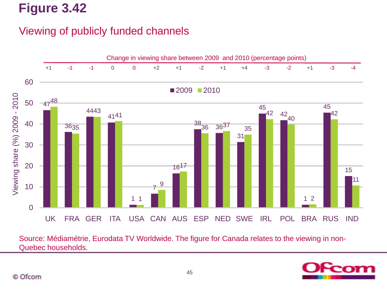### Viewing of publicly funded channels



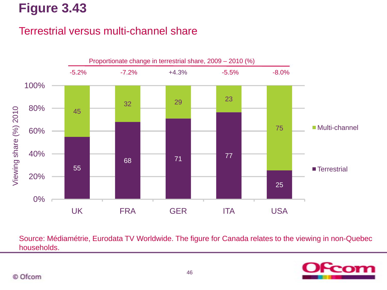### Terrestrial versus multi-channel share